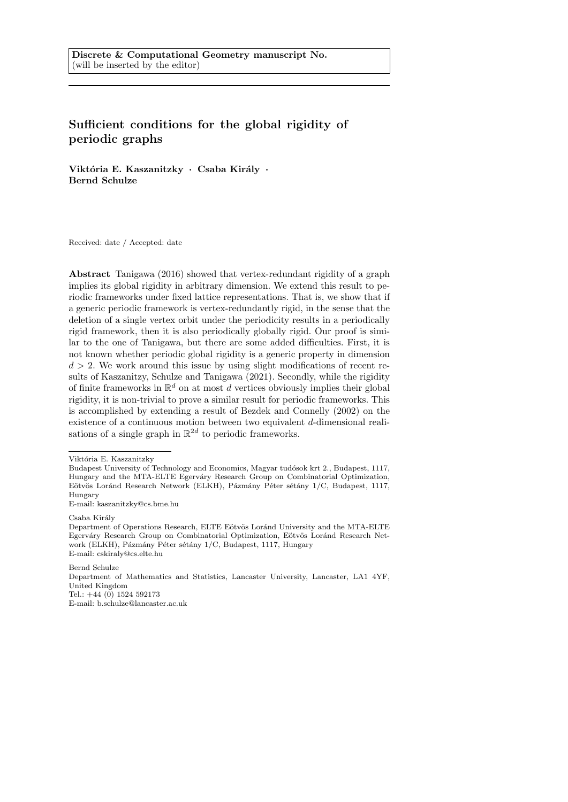# Sufficient conditions for the global rigidity of periodic graphs

Viktória E. Kaszanitzky · Csaba Király · Bernd Schulze

Received: date / Accepted: date

Abstract Tanigawa (2016) showed that vertex-redundant rigidity of a graph implies its global rigidity in arbitrary dimension. We extend this result to periodic frameworks under fixed lattice representations. That is, we show that if a generic periodic framework is vertex-redundantly rigid, in the sense that the deletion of a single vertex orbit under the periodicity results in a periodically rigid framework, then it is also periodically globally rigid. Our proof is similar to the one of Tanigawa, but there are some added difficulties. First, it is not known whether periodic global rigidity is a generic property in dimension  $d > 2$ . We work around this issue by using slight modifications of recent results of Kaszanitzy, Schulze and Tanigawa (2021). Secondly, while the rigidity of finite frameworks in  $\mathbb{R}^d$  on at most d vertices obviously implies their global rigidity, it is non-trivial to prove a similar result for periodic frameworks. This is accomplished by extending a result of Bezdek and Connelly (2002) on the existence of a continuous motion between two equivalent d-dimensional realisations of a single graph in  $\mathbb{R}^{2d}$  to periodic frameworks.

Csaba Király

Bernd Schulze

Department of Mathematics and Statistics, Lancaster University, Lancaster, LA1 4YF, United Kingdom Tel.: +44 (0) 1524 592173

E-mail: b.schulze@lancaster.ac.uk

Viktória E. Kaszanitzky

Budapest University of Technology and Economics, Magyar tudósok krt 2., Budapest, 1117, Hungary and the MTA-ELTE Egerváry Research Group on Combinatorial Optimization, Eötvös Loránd Research Network (ELKH), Pázmány Péter sétány 1/C, Budapest, 1117, Hungary

E-mail: kaszanitzky@cs.bme.hu

Department of Operations Research, ELTE Eötvös Loránd University and the MTA-ELTE Egerváry Research Group on Combinatorial Optimization, Eötvös Loránd Research Network (ELKH), Pázmány Péter sétány 1/C, Budapest, 1117, Hungary E-mail: cskiraly@cs.elte.hu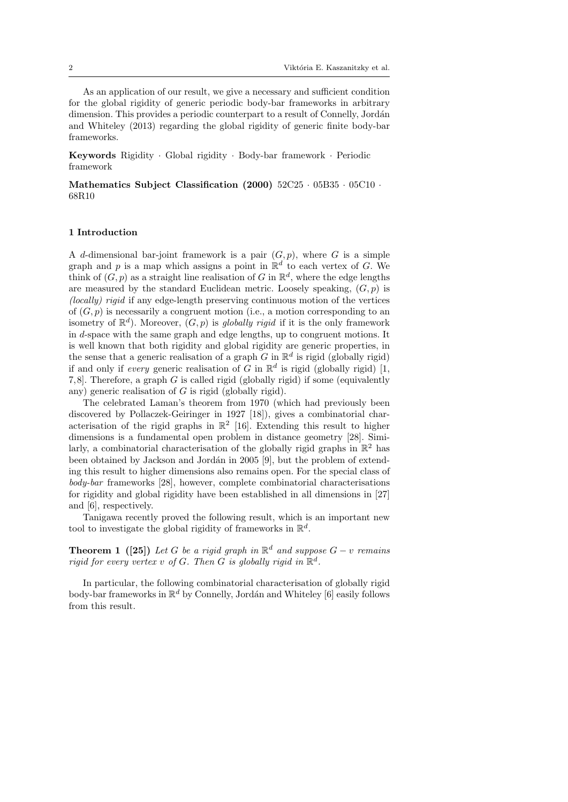As an application of our result, we give a necessary and sufficient condition for the global rigidity of generic periodic body-bar frameworks in arbitrary dimension. This provides a periodic counterpart to a result of Connelly, Jordán and Whiteley (2013) regarding the global rigidity of generic finite body-bar frameworks.

Keywords Rigidity · Global rigidity · Body-bar framework · Periodic framework

Mathematics Subject Classification (2000) 52C25 · 05B35 · 05C10 · 68R10

# 1 Introduction

A d-dimensional bar-joint framework is a pair  $(G, p)$ , where G is a simple graph and p is a map which assigns a point in  $\mathbb{R}^d$  to each vertex of G. We think of  $(G, p)$  as a straight line realisation of G in  $\mathbb{R}^d$ , where the edge lengths are measured by the standard Euclidean metric. Loosely speaking,  $(G, p)$  is (locally) rigid if any edge-length preserving continuous motion of the vertices of  $(G, p)$  is necessarily a congruent motion (i.e., a motion corresponding to an isometry of  $\mathbb{R}^d$ ). Moreover,  $(G, p)$  is globally rigid if it is the only framework in d-space with the same graph and edge lengths, up to congruent motions. It is well known that both rigidity and global rigidity are generic properties, in the sense that a generic realisation of a graph G in  $\mathbb{R}^d$  is rigid (globally rigid) if and only if every generic realisation of G in  $\mathbb{R}^d$  is rigid (globally rigid) [1, 7, 8]. Therefore, a graph G is called rigid (globally rigid) if some (equivalently any) generic realisation of G is rigid (globally rigid).

The celebrated Laman's theorem from 1970 (which had previously been discovered by Pollaczek-Geiringer in 1927 [18]), gives a combinatorial characterisation of the rigid graphs in  $\mathbb{R}^2$  [16]. Extending this result to higher dimensions is a fundamental open problem in distance geometry [28]. Similarly, a combinatorial characterisation of the globally rigid graphs in  $\mathbb{R}^2$  has been obtained by Jackson and Jordán in 2005 [9], but the problem of extending this result to higher dimensions also remains open. For the special class of body-bar frameworks [28], however, complete combinatorial characterisations for rigidity and global rigidity have been established in all dimensions in [27] and [6], respectively.

Tanigawa recently proved the following result, which is an important new tool to investigate the global rigidity of frameworks in  $\mathbb{R}^d$ .

**Theorem 1** ([25]) Let G be a rigid graph in  $\mathbb{R}^d$  and suppose  $G - v$  remains rigid for every vertex v of G. Then G is globally rigid in  $\mathbb{R}^d$ .

In particular, the following combinatorial characterisation of globally rigid body-bar frameworks in  $\mathbb{R}^d$  by Connelly, Jordán and Whiteley [6] easily follows from this result.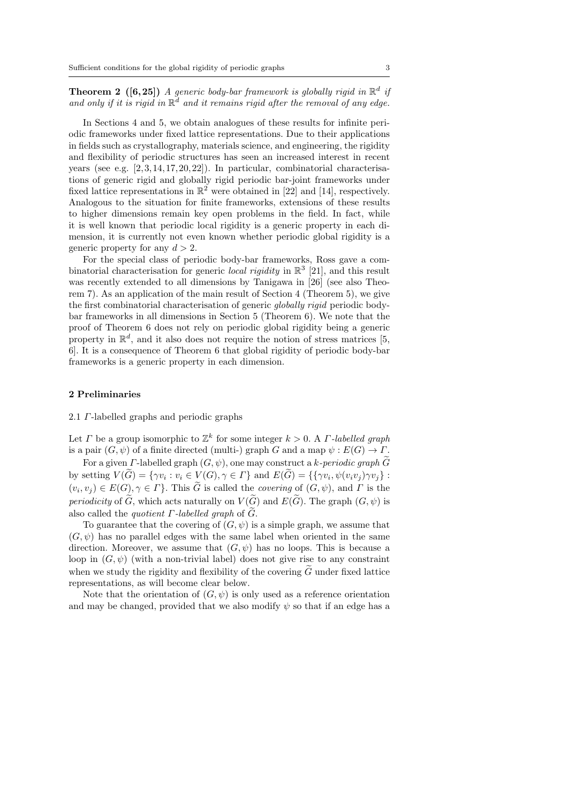**Theorem 2** ([6,25]) A generic body-bar framework is globally rigid in  $\mathbb{R}^d$  if and only if it is rigid in  $\mathbb{R}^d$  and it remains rigid after the removal of any edge.

In Sections 4 and 5, we obtain analogues of these results for infinite periodic frameworks under fixed lattice representations. Due to their applications in fields such as crystallography, materials science, and engineering, the rigidity and flexibility of periodic structures has seen an increased interest in recent years (see e.g.  $[2, 3, 14, 17, 20, 22]$ ). In particular, combinatorial characterisations of generic rigid and globally rigid periodic bar-joint frameworks under fixed lattice representations in  $\mathbb{R}^2$  were obtained in [22] and [14], respectively. Analogous to the situation for finite frameworks, extensions of these results to higher dimensions remain key open problems in the field. In fact, while it is well known that periodic local rigidity is a generic property in each dimension, it is currently not even known whether periodic global rigidity is a generic property for any  $d > 2$ .

For the special class of periodic body-bar frameworks, Ross gave a combinatorial characterisation for generic *local rigidity* in  $\mathbb{R}^3$  [21], and this result was recently extended to all dimensions by Tanigawa in [26] (see also Theorem 7). As an application of the main result of Section 4 (Theorem 5), we give the first combinatorial characterisation of generic globally rigid periodic bodybar frameworks in all dimensions in Section 5 (Theorem 6). We note that the proof of Theorem 6 does not rely on periodic global rigidity being a generic property in  $\mathbb{R}^d$ , and it also does not require the notion of stress matrices [5, 6]. It is a consequence of Theorem 6 that global rigidity of periodic body-bar frameworks is a generic property in each dimension.

## 2 Preliminaries

#### 2.1 Γ-labelled graphs and periodic graphs

Let  $\Gamma$  be a group isomorphic to  $\mathbb{Z}^k$  for some integer  $k > 0$ . A  $\Gamma$ -labelled graph is a pair  $(G, \psi)$  of a finite directed (multi-) graph G and a map  $\psi : E(G) \to \Gamma$ .

For a given *Γ*-labelled graph  $(G, \psi)$ , one may construct a k-periodic graph  $\widetilde{G}$ by setting  $V(G) = \{ \gamma v_i : v_i \in V(G), \gamma \in \Gamma \}$  and  $E(G) = \{ \{ \gamma v_i, \psi(v_i v_j) \gamma v_j \} :$  $(v_i, v_j) \in E(G), \gamma \in \Gamma$ . This G is called the *covering* of  $(G, \psi)$ , and  $\Gamma$  is the periodicity of  $\widetilde{G}$ , which acts naturally on  $V(\widetilde{G})$  and  $E(\widetilde{G})$ . The graph  $(G, \psi)$  is also called the *quotient*  $\Gamma$ *-labelled graph* of  $\tilde{G}$ .

To guarantee that the covering of  $(G, \psi)$  is a simple graph, we assume that  $(G, \psi)$  has no parallel edges with the same label when oriented in the same direction. Moreover, we assume that  $(G, \psi)$  has no loops. This is because a loop in  $(G, \psi)$  (with a non-trivial label) does not give rise to any constraint when we study the rigidity and flexibility of the covering  $\tilde{G}$  under fixed lattice representations, as will become clear below.

Note that the orientation of  $(G, \psi)$  is only used as a reference orientation and may be changed, provided that we also modify  $\psi$  so that if an edge has a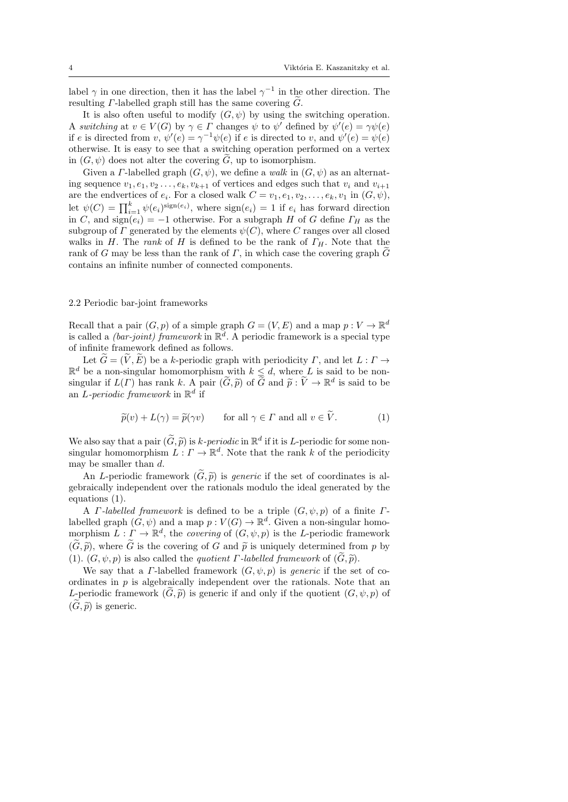label  $\gamma$  in one direction, then it has the label  $\gamma^{-1}$  in the other direction. The resulting  $\Gamma$ -labelled graph still has the same covering  $\tilde{G}$ .

It is also often useful to modify  $(G, \psi)$  by using the switching operation. A switching at  $v \in V(G)$  by  $\gamma \in \Gamma$  changes  $\psi$  to  $\psi'$  defined by  $\psi'(e) = \gamma \psi(e)$ if e is directed from  $v, \psi'(e) = \gamma^{-1} \psi(e)$  if e is directed to v, and  $\psi'(e) = \psi(e)$ otherwise. It is easy to see that a switching operation performed on a vertex in  $(G, \psi)$  does not alter the covering  $\tilde{G}$ , up to isomorphism.

Given a *Γ*-labelled graph  $(G, \psi)$ , we define a walk in  $(G, \psi)$  as an alternating sequence  $v_1, e_1, v_2, \ldots, e_k, v_{k+1}$  of vertices and edges such that  $v_i$  and  $v_{i+1}$ are the endvertices of  $e_i$ . For a closed walk  $C = v_1, e_1, v_2, \ldots, e_k, v_1$  in  $(G, \psi)$ , let  $\psi(C) = \prod_{i=1}^{k} \psi(e_i)^{\text{sign}(e_i)}$ , where  $\text{sign}(e_i) = 1$  if  $e_i$  has forward direction in C, and  $sign(e_i) = -1$  otherwise. For a subgraph H of G define  $\Gamma_H$  as the subgroup of  $\Gamma$  generated by the elements  $\psi(C)$ , where  $C$  ranges over all closed walks in H. The rank of H is defined to be the rank of  $\Gamma_H$ . Note that the rank of G may be less than the rank of  $\Gamma$ , in which case the covering graph G contains an infinite number of connected components.

# 2.2 Periodic bar-joint frameworks

Recall that a pair  $(G, p)$  of a simple graph  $G = (V, E)$  and a map  $p : V \to \mathbb{R}^d$ is called a *(bar-joint) framework* in  $\mathbb{R}^d$ . A periodic framework is a special type of infinite framework defined as follows.

Let  $\widetilde{G} = (\widetilde{V}, \widetilde{E})$  be a k-periodic graph with periodicity  $\Gamma$ , and let  $L : \Gamma \to$  $\mathbb{R}^d$  be a non-singular homomorphism with  $k \leq d$ , where L is said to be nonsingular if  $L(\Gamma)$  has rank k. A pair  $(\widetilde{G}, \widetilde{p})$  of  $\widetilde{G}$  and  $\widetilde{p}: \widetilde{V} \to \mathbb{R}^d$  is said to be an L-periodic framework in  $\mathbb{R}^d$  if

$$
\widetilde{p}(v) + L(\gamma) = \widetilde{p}(\gamma v) \qquad \text{for all } \gamma \in \Gamma \text{ and all } v \in \widetilde{V}.
$$
 (1)

We also say that a pair  $(\widetilde{G}, \widetilde{p})$  is k-periodic in  $\mathbb{R}^d$  if it is L-periodic for some non-<br>singular homomorphism  $I : \Gamma \to \mathbb{R}^d$ . Note that the rank k of the periodicity singular homomorphism  $L: \Gamma \to \mathbb{R}^d$ . Note that the rank k of the periodicity may be smaller than d.

An L-periodic framework  $(\widetilde{G}, \widetilde{p})$  is *generic* if the set of coordinates is algebraically independent over the rationals modulo the ideal generated by the equations (1).

A *Γ*-labelled framework is defined to be a triple  $(G, \psi, p)$  of a finite *Γ*labelled graph  $(G, \psi)$  and a map  $p: V(G) \to \mathbb{R}^d$ . Given a non-singular homomorphism  $L: \Gamma \to \mathbb{R}^d$ , the covering of  $(G, \psi, p)$  is the L-periodic framework  $(\widetilde{G}, \widetilde{p})$ , where  $\widetilde{G}$  is the covering of G and  $\widetilde{p}$  is uniquely determined from p by (1).  $(G, \psi, p)$  is also called the *quotient Γ-labelled framework* of  $(\tilde{G}, \tilde{p})$ .

We say that a *Γ*-labelled framework  $(G, \psi, p)$  is *generic* if the set of coordinates in  $p$  is algebraically independent over the rationals. Note that an L-periodic framework  $(\tilde{G}, \tilde{p})$  is generic if and only if the quotient  $(G, \psi, p)$  of  $(\widetilde{G}, \widetilde{p})$  is generic.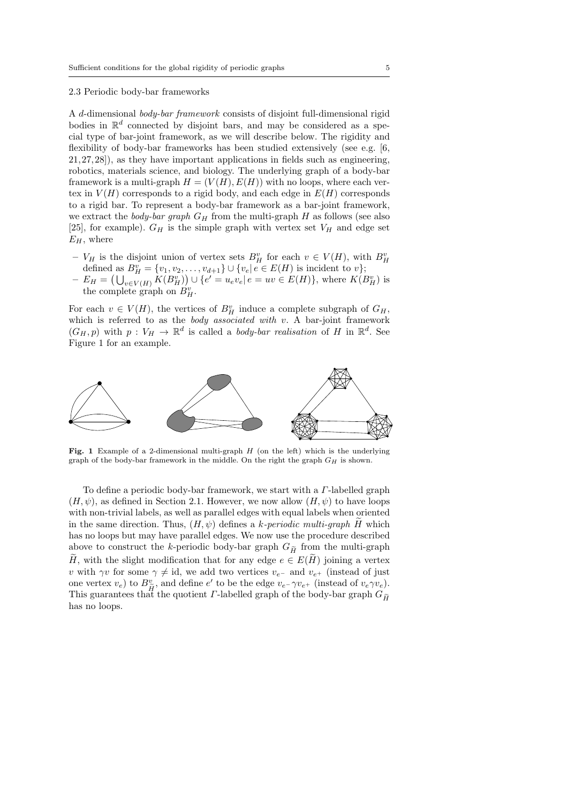## 2.3 Periodic body-bar frameworks

A d-dimensional body-bar framework consists of disjoint full-dimensional rigid bodies in  $\mathbb{R}^d$  connected by disjoint bars, and may be considered as a special type of bar-joint framework, as we will describe below. The rigidity and flexibility of body-bar frameworks has been studied extensively (see e.g. [6, 21, 27, 28]), as they have important applications in fields such as engineering, robotics, materials science, and biology. The underlying graph of a body-bar framework is a multi-graph  $H = (V(H), E(H))$  with no loops, where each vertex in  $V(H)$  corresponds to a rigid body, and each edge in  $E(H)$  corresponds to a rigid bar. To represent a body-bar framework as a bar-joint framework, we extract the *body-bar graph*  $G_H$  from the multi-graph H as follows (see also [25], for example).  $G_H$  is the simple graph with vertex set  $V_H$  and edge set  $E_H$ , where

- $V_H$  is the disjoint union of vertex sets  $B_H^v$  for each  $v \in V(H)$ , with  $B_H^v$ defined as  $B_H^v = \{v_1, v_2, \dots, v_{d+1}\} \cup \{v_e | e \in E(H) \text{ is incident to } v\};$
- $-E_H = (\bigcup_{v \in V(H)} K(B_H^v)) \cup \{e' = u_e v_e | e = uv \in E(H)\},\$  where  $K(B_H^v)$  is the complete graph on  $B_H^v$ .

For each  $v \in V(H)$ , the vertices of  $B_H^v$  induce a complete subgraph of  $G_H$ , which is referred to as the body associated with  $v$ . A bar-joint framework  $(G_H, p)$  with  $p: V_H \to \mathbb{R}^d$  is called a body-bar realisation of H in  $\mathbb{R}^d$ . See Figure 1 for an example.



Fig. 1 Example of a 2-dimensional multi-graph  $H$  (on the left) which is the underlying graph of the body-bar framework in the middle. On the right the graph  $G_H$  is shown.

To define a periodic body-bar framework, we start with a Γ-labelled graph  $(H, \psi)$ , as defined in Section 2.1. However, we now allow  $(H, \psi)$  to have loops with non-trivial labels, as well as parallel edges with equal labels when oriented in the same direction. Thus,  $(H, \psi)$  defines a k-periodic multi-graph H which has no loops but may have parallel edges. We now use the procedure described above to construct the k-periodic body-bar graph  $G_{\widetilde{H}}$  from the multi-graph Henry with the slight modification that for any edge  $e \in E(H)$  joining a vertex v with  $\gamma v$  for some  $\gamma \neq id$ , we add two vertices  $v_{e-}$  and  $v_{e+}$  (instead of just one vertex  $v_e$ ) to  $B_{\widetilde{H}}^v$ , and define  $e'$  to be the edge  $v_{e^-} \gamma v_{e^+}$  (instead of  $v_e \gamma v_e$ ). This guarantees that the quotient  $\Gamma$ -labelled graph of the body-bar graph  $G_{\widetilde{H}}$ <br>his guarantees that the quotient  $\Gamma$ -labelled graph of the body-bar graph  $G_{\widetilde{H}}$ has no loops.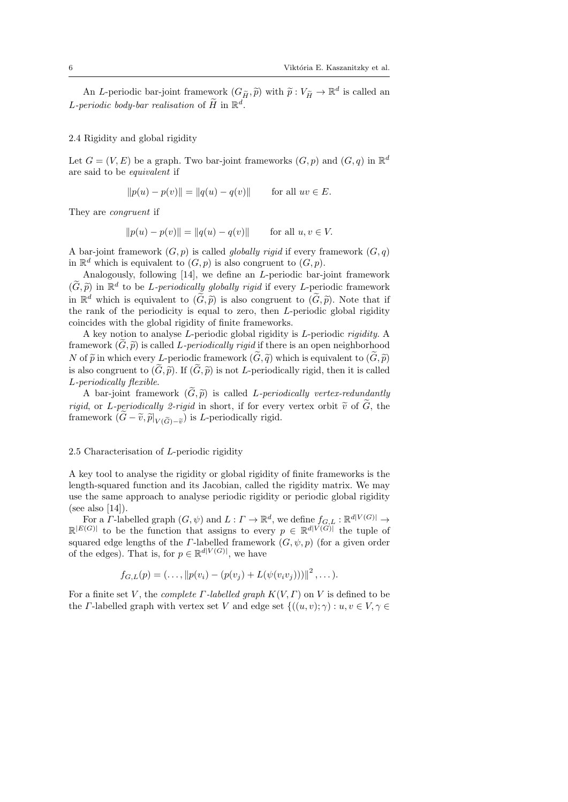An *L*-periodic bar-joint framework  $(G_{\widetilde{H}}, \widetilde{p})$  with  $\widetilde{p}: V_{\widetilde{H}} \to \mathbb{R}^d$  is called an L-periodic body-bar realisation of  $\widetilde{H}$  in  $\mathbb{R}^d$ .

#### 2.4 Rigidity and global rigidity

Let  $G = (V, E)$  be a graph. Two bar-joint frameworks  $(G, p)$  and  $(G, q)$  in  $\mathbb{R}^d$ are said to be equivalent if

$$
||p(u) - p(v)|| = ||q(u) - q(v)||
$$
 for all  $uv \in E$ .

They are congruent if

$$
||p(u) - p(v)|| = ||q(u) - q(v)||
$$
 for all  $u, v \in V$ .

A bar-joint framework  $(G, p)$  is called *globally rigid* if every framework  $(G, q)$ in  $\mathbb{R}^d$  which is equivalent to  $(G, p)$  is also congruent to  $(G, p)$ .

Analogously, following [14], we define an L-periodic bar-joint framework  $(\widetilde{G}, \widetilde{p})$  in  $\mathbb{R}^d$  to be *L-periodically globally rigid* if every *L*-periodic framework<br>in  $\mathbb{R}^d$  which is equivalent to  $(\widetilde{G}, \widetilde{g})$  is also consument to  $(\widetilde{G}, \widetilde{g})$ . Note that if in  $\mathbb{R}^d$  which is equivalent to  $(\widetilde{G}, \widetilde{p})$  is also congruent to  $(\widetilde{G}, \widetilde{p})$ . Note that if the rank of the periodicity is equal to zero, then L-periodic global rigidity coincides with the global rigidity of finite frameworks.

A key notion to analyse L-periodic global rigidity is L-periodic rigidity. A framework  $(G, \tilde{p})$  is called *L-periodically rigid* if there is an open neighborhood N of  $\tilde{p}$  in which every L-periodic framework  $(\tilde{G}, \tilde{q})$  which is equivalent to  $(\tilde{G}, \tilde{p})$ is also congruent to  $(\widetilde{G}, \widetilde{p})$ . If  $(\widetilde{G}, \widetilde{p})$  is not *L*-periodically rigid, then it is called L-periodically flexible.

A bar-joint framework  $(\widetilde{G}, \widetilde{p})$  is called *L-periodically vertex-redundantly rigid*, or L-periodically 2-rigid in short, if for every vertex orbit  $\tilde{v}$  of  $\tilde{G}$ , the framework  $(G - \tilde{v}, \tilde{p}|_{V(\tilde{G}) - \tilde{v}})$  is L-periodically rigid.

# 2.5 Characterisation of L-periodic rigidity

A key tool to analyse the rigidity or global rigidity of finite frameworks is the length-squared function and its Jacobian, called the rigidity matrix. We may use the same approach to analyse periodic rigidity or periodic global rigidity (see also  $[14]$ ).

For a  $\overline{\Gamma}$ -labelled graph  $(G, \psi)$  and  $L: \Gamma \to \mathbb{R}^d$ , we define  $f_{G,L}: \mathbb{R}^{d|V(G)|} \to$  $\mathbb{R}^{|E(G)|}$  to be the function that assigns to every  $p \in \mathbb{R}^{d|V(G)|}$  the tuple of squared edge lengths of the *Γ*-labelled framework  $(G, \psi, p)$  (for a given order of the edges). That is, for  $p \in \mathbb{R}^{d|V(G)|}$ , we have

$$
f_{G,L}(p) = (\ldots, ||p(v_i) - (p(v_j) + L(\psi(v_i v_j)))||^2, \ldots).
$$

For a finite set V, the *complete*  $\Gamma$ *-labelled graph*  $K(V, \Gamma)$  on V is defined to be the *Γ*-labelled graph with vertex set V and edge set  $\{(u, v); \gamma) : u, v \in V, \gamma \in$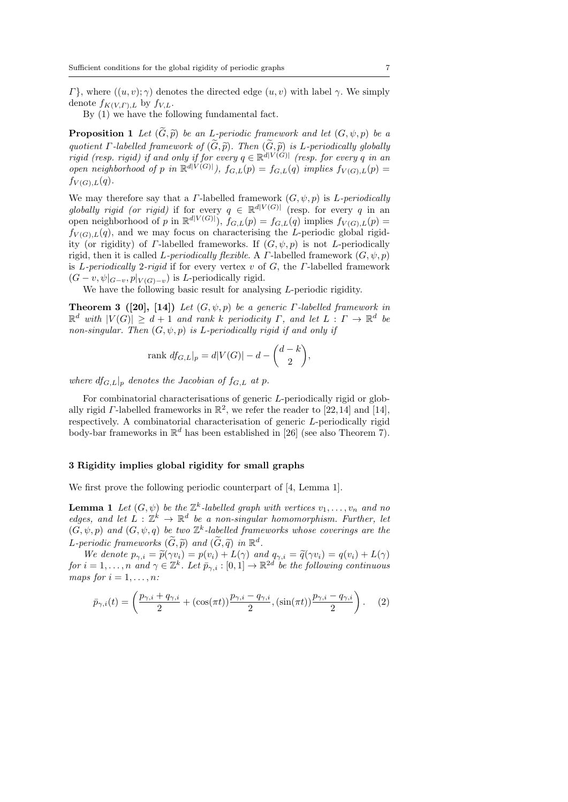$Γ$ , where  $((u, v); γ)$  denotes the directed edge  $(u, v)$  with label γ. We simply denote  $f_{K(V,\Gamma),L}$  by  $f_{V,L}$ .

By (1) we have the following fundamental fact.

**Proposition 1** Let  $(G, \tilde{p})$  be an L-periodic framework and let  $(G, \psi, p)$  be a<br>method  $F$  let  $H$  from events of  $(\widetilde{G}, \widetilde{g})$ . Then  $(\widetilde{G}, \widetilde{g})$  is L a minimized by debtally quotient *Γ*-labelled framework of  $(G, \tilde{p})$ . Then  $(G, \tilde{p})$  is *L*-periodically globally rigid (resp. rigid) if and only if for every  $q \in \mathbb{R}^{d|V(G)|}$  (resp. for every q in an open neighborhood of p in  $\mathbb{R}^{d|V(G)|}$ ,  $f_{G,L}(p) = f_{G,L}(q)$  implies  $f_{V(G),L}(p) =$  $f_{V(G),L}(q)$ .

We may therefore say that a *Γ*-labelled framework  $(G, \psi, p)$  is *L-periodically* globally rigid (or rigid) if for every  $q \in \mathbb{R}^{d|V(G)|}$  (resp. for every q in an open neighborhood of p in  $\mathbb{R}^{d|V(G)|}$ ,  $f_{G,L}(p) = f_{G,L}(q)$  implies  $f_{V(G),L}(p) =$  $f_{V(G),L}(q)$ , and we may focus on characterising the L-periodic global rigidity (or rigidity) of *Γ*-labelled frameworks. If  $(G, \psi, p)$  is not *L*-periodically rigid, then it is called L-periodically flexible. A  $\Gamma$ -labelled framework  $(G, \psi, p)$ is L-periodically 2-rigid if for every vertex v of G, the  $\Gamma$ -labelled framework  $(G - v, \psi|_{G-v}, p|_{V(G)-v})$  is *L*-periodically rigid.

We have the following basic result for analysing L-periodic rigidity.

**Theorem 3 ([20], [14])** Let  $(G, \psi, p)$  be a generic  $\Gamma$ -labelled framework in  $\mathbb{R}^d$  with  $|V(G)| \geq d+1$  and rank k periodicity  $\Gamma$ , and let  $L : \Gamma \to \mathbb{R}^d$  be non-singular. Then  $(G, \psi, p)$  is L-periodically rigid if and only if

$$
\text{rank } df_{G,L}|_p = d|V(G)| - d - \binom{d-k}{2},
$$

where  $df_{GL}|_p$  denotes the Jacobian of  $f_{GL}$  at p.

For combinatorial characterisations of generic L-periodically rigid or globally rigid  $\Gamma$ -labelled frameworks in  $\mathbb{R}^2$ , we refer the reader to [22,14] and [14], respectively. A combinatorial characterisation of generic L-periodically rigid body-bar frameworks in  $\mathbb{R}^d$  has been established in [26] (see also Theorem 7).

# 3 Rigidity implies global rigidity for small graphs

We first prove the following periodic counterpart of [4, Lemma 1].

**Lemma 1** Let  $(G, \psi)$  be the  $\mathbb{Z}^k$ -labelled graph with vertices  $v_1, \ldots, v_n$  and no edges, and let  $L : \mathbb{Z}^k \to \mathbb{R}^d$  be a non-singular homomorphism. Further, let  $(G, \psi, p)$  and  $(G, \psi, q)$  be two  $\mathbb{Z}^k$ -labelled frameworks whose coverings are the L-periodic frameworks  $(\widetilde{G}, \widetilde{p})$  and  $(\widetilde{G}, \widetilde{q})$  in  $\mathbb{R}^d$ .<br>We denote  $p_{\alpha} = \widetilde{p}(\alpha x_1) - p(x_1) + I(\alpha)$  and

We denote  $p_{\gamma,i} = \tilde{p}(\gamma v_i) = p(v_i) + L(\gamma)$  and  $q_{\gamma,i} = \tilde{q}(\gamma v_i) = q(v_i) + L(\gamma)$ for  $i = 1, \ldots, n$  and  $\gamma \in \mathbb{Z}^k$ . Let  $\bar{p}_{\gamma,i} : [0,1] \to \mathbb{R}^{2d}$  be the following continuous maps for  $i = 1, \ldots, n$ :

$$
\bar{p}_{\gamma,i}(t) = \left(\frac{p_{\gamma,i} + q_{\gamma,i}}{2} + (\cos(\pi t))\frac{p_{\gamma,i} - q_{\gamma,i}}{2}, (\sin(\pi t))\frac{p_{\gamma,i} - q_{\gamma,i}}{2}\right). \tag{2}
$$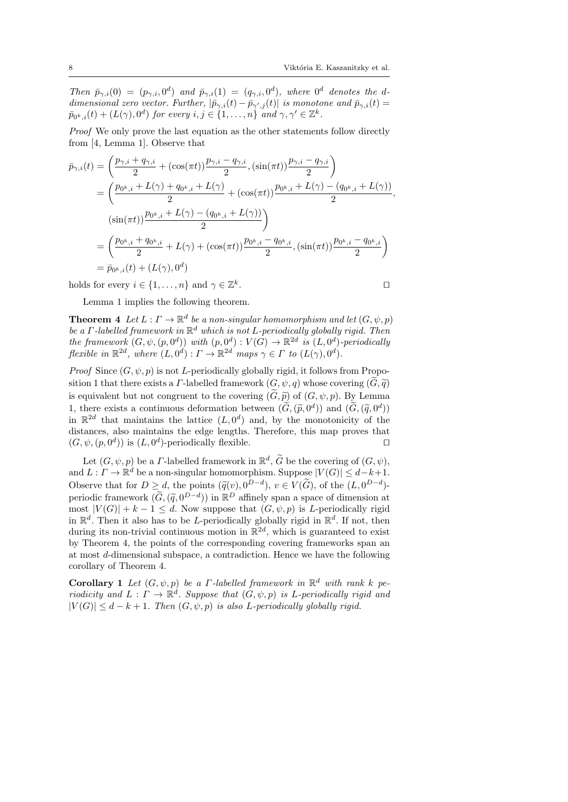Then  $\bar{p}_{\gamma,i}(0) = (p_{\gamma,i}, 0^d)$  and  $\bar{p}_{\gamma,i}(1) = (q_{\gamma,i}, 0^d)$ , where  $0^d$  denotes the ddimensional zero vector. Further,  $|\bar{p}_{\gamma,i}(t) - \bar{p}_{\gamma',j}(t)|$  is monotone and  $\bar{p}_{\gamma,i}(t) =$  $\bar{p}_{0^k,i}(t) + (L(\gamma), 0^d)$  for every  $i, j \in \{1, \ldots, n\}$  and  $\gamma, \gamma' \in \mathbb{Z}^k$ .

Proof We only prove the last equation as the other statements follow directly from [4, Lemma 1]. Observe that

$$
\bar{p}_{\gamma,i}(t) = \left(\frac{p_{\gamma,i} + q_{\gamma,i}}{2} + (\cos(\pi t))\frac{p_{\gamma,i} - q_{\gamma,i}}{2}, (\sin(\pi t))\frac{p_{\gamma,i} - q_{\gamma,i}}{2}\right)
$$
\n
$$
= \left(\frac{p_{0^k,i} + L(\gamma) + q_{0^k,i} + L(\gamma)}{2} + (\cos(\pi t))\frac{p_{0^k,i} + L(\gamma) - (q_{0^k,i} + L(\gamma))}{2},
$$
\n
$$
(\sin(\pi t))\frac{p_{0^k,i} + L(\gamma) - (q_{0^k,i} + L(\gamma))}{2}\right)
$$
\n
$$
= \left(\frac{p_{0^k,i} + q_{0^k,i}}{2} + L(\gamma) + (\cos(\pi t))\frac{p_{0^k,i} - q_{0^k,i}}{2}, (\sin(\pi t))\frac{p_{0^k,i} - q_{0^k,i}}{2}\right)
$$
\n
$$
= \bar{p}_{0^k,i}(t) + (L(\gamma), 0^d)
$$

holds for every  $i \in \{1, ..., n\}$  and  $\gamma \in \mathbb{Z}^k$ . The contract of the contract of  $\Box$ 

Lemma 1 implies the following theorem.

**Theorem 4** Let  $L : \Gamma \to \mathbb{R}^d$  be a non-singular homomorphism and let  $(G, \psi, p)$ be a  $\Gamma$ -labelled framework in  $\mathbb{R}^d$  which is not L-periodically globally rigid. Then the framework  $(G, \psi, (p, 0^d))$  with  $(p, 0^d) : V(G) \to \mathbb{R}^{2d}$  is  $(L, 0^d)$ -periodically flexible in  $\mathbb{R}^{2d}$ , where  $(L, 0^d) : \Gamma \to \mathbb{R}^{2d}$  maps  $\gamma \in \Gamma$  to  $(L(\gamma), 0^d)$ .

*Proof* Since  $(G, \psi, p)$  is not *L*-periodically globally rigid, it follows from Proposition 1 that there exists a *Γ*-labelled framework  $(G, \psi, q)$  whose covering  $(\widetilde{G}, \widetilde{q})$ is equivalent but not congruent to the covering  $(\tilde{G}, \tilde{p})$  of  $(G, \psi, p)$ . By Lemma 1, there exists a continuous deformation between  $(\tilde{G}, (\tilde{p}, 0^d))$  and  $(\tilde{G}, (\tilde{q}, 0^d))$ <br>in  $\mathbb{R}^{2d}$  that maintains the lattice  $(I, 0^d)$  and by the monotonicity of the in  $\mathbb{R}^{2d}$  that maintains the lattice  $(L, 0^d)$  and, by the monotonicity of the distances, also maintains the edge lengths. Therefore, this map proves that  $(G, \psi, (p, 0^d))$  is  $(L, 0^d)$ -periodically flexible.

Let  $(G, \psi, p)$  be a *Γ*-labelled framework in  $\mathbb{R}^d$ ,  $\widetilde{G}$  be the covering of  $(G, \psi)$ , and  $L: \Gamma \to \mathbb{R}^d$  be a non-singular homomorphism. Suppose  $|V(G)| \leq d-k+1$ . Observe that for  $D \geq d$ , the points  $(\widetilde{q}(v), 0^{D-d}), v \in V(\widetilde{G}),$  of the  $(L, 0^{D-d})$ -<br>particular framework  $(\widetilde{G}, (\widetilde{\alpha}, 0^{D-d}))$  in  $\mathbb{R}^D$  effinally graps a grappe of dimension at periodic framework  $(\widetilde{G}, (\widetilde{q}, 0^{D-d}))$  in  $\mathbb{R}^D$  affinely span a space of dimension at most  $|V(G)| + k - 1 \leq d$ . Now suppose that  $(G, \psi, n)$  is L periodically rigid most  $|V(G)| + k - 1 \le d$ . Now suppose that  $(G, \psi, p)$  is *L*-periodically rigid in  $\mathbb{R}^d$ . Then it also has to be *L*-periodically globally rigid in  $\mathbb{R}^d$ . If not, then during its non-trivial continuous motion in  $\mathbb{R}^{2d}$ , which is guaranteed to exist by Theorem 4, the points of the corresponding covering frameworks span an at most d-dimensional subspace, a contradiction. Hence we have the following corollary of Theorem 4.

**Corollary 1** Let  $(G, \psi, p)$  be a *Γ*-labelled framework in  $\mathbb{R}^d$  with rank k periodicity and  $L: \Gamma \to \mathbb{R}^d$ . Suppose that  $(G, \psi, p)$  is L-periodically rigid and  $|V(G)| \leq d - k + 1$ . Then  $(G, \psi, p)$  is also L-periodically globally rigid.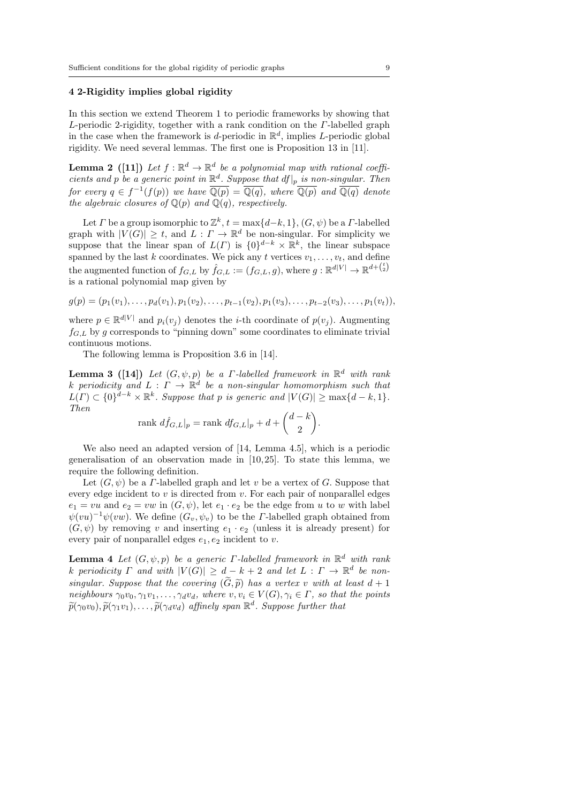# 4 2-Rigidity implies global rigidity

In this section we extend Theorem 1 to periodic frameworks by showing that  $L$ -periodic 2-rigidity, together with a rank condition on the  $\Gamma$ -labelled graph in the case when the framework is d-periodic in  $\mathbb{R}^d$ , implies L-periodic global rigidity. We need several lemmas. The first one is Proposition 13 in [11].

**Lemma 2** ([11]) Let  $f : \mathbb{R}^d \to \mathbb{R}^d$  be a polynomial map with rational coefficients and p be a generic point in  $\mathbb{R}^d$ . Suppose that  $df|_p$  is non-singular. Then for every  $q \in f^{-1}(f(p))$  we have  $\overline{\mathbb{Q}(p)} = \overline{\mathbb{Q}(q)}$ , where  $\overline{\mathbb{Q}(p)}$  and  $\overline{\mathbb{Q}(q)}$  denote the algebraic closures of  $\mathbb{Q}(p)$  and  $\mathbb{Q}(q)$ , respectively.

Let  $\Gamma$  be a group isomorphic to  $\mathbb{Z}^k$ ,  $t = \max\{d-k, 1\}$ ,  $(G, \psi)$  be a  $\Gamma$ -labelled graph with  $|V(G)| \geq t$ , and  $L: \Gamma \to \mathbb{R}^d$  be non-singular. For simplicity we suppose that the linear span of  $L(\Gamma)$  is  $\{0\}^{d-k} \times \mathbb{R}^k$ , the linear subspace spanned by the last k coordinates. We pick any t vertices  $v_1, \ldots, v_t$ , and define the augmented function of  $f_{G,L}$  by  $\hat{f}_{G,L} := (f_{G,L}, g)$ , where  $g: \mathbb{R}^{d|V|} \to \mathbb{R}^{d+(\frac{t}{2})}$ is a rational polynomial map given by

$$
g(p) = (p_1(v_1), \ldots, p_d(v_1), p_1(v_2), \ldots, p_{t-1}(v_2), p_1(v_3), \ldots, p_{t-2}(v_3), \ldots, p_1(v_t)),
$$

where  $p \in \mathbb{R}^{d|V|}$  and  $p_i(v_j)$  denotes the *i*-th coordinate of  $p(v_j)$ . Augmenting  $f_{G,L}$  by g corresponds to "pinning down" some coordinates to eliminate trivial continuous motions.

The following lemma is Proposition 3.6 in [14].

**Lemma 3** ([14]) Let  $(G, \psi, p)$  be a  $\Gamma$ -labelled framework in  $\mathbb{R}^d$  with rank k periodicity and  $L : \Gamma \to \mathbb{R}^d$  be a non-singular homomorphism such that  $L(\Gamma) \subset \{0\}^{d-k} \times \mathbb{R}^k$ . Suppose that p is generic and  $|V(G)| \ge \max\{d-k, 1\}$ . Then

$$
\text{rank } d\hat{f}_{G,L}|_p = \text{rank } df_{G,L}|_p + d + \binom{d-k}{2}.
$$

We also need an adapted version of [14, Lemma 4.5], which is a periodic generalisation of an observation made in  $[10, 25]$ . To state this lemma, we require the following definition.

Let  $(G, \psi)$  be a *Γ*-labelled graph and let v be a vertex of *G*. Suppose that every edge incident to  $v$  is directed from  $v$ . For each pair of nonparallel edges  $e_1 = vu$  and  $e_2 = vw$  in  $(G, \psi)$ , let  $e_1 \cdot e_2$  be the edge from u to w with label  $\psi(vu)^{-1}\psi(vw)$ . We define  $(G_v, \psi_v)$  to be the *Γ*-labelled graph obtained from  $(G, \psi)$  by removing v and inserting  $e_1 \cdot e_2$  (unless it is already present) for every pair of nonparallel edges  $e_1, e_2$  incident to v.

**Lemma 4** Let  $(G, \psi, p)$  be a generic  $\Gamma$ -labelled framework in  $\mathbb{R}^d$  with rank k periodicity  $\Gamma$  and with  $|V(G)| \geq d - k + 2$  and let  $L : \Gamma \to \mathbb{R}^d$  be nonsingular. Suppose that the covering  $(\widetilde{G}, \widetilde{p})$  has a vertex v with at least  $d+1$ neighbours  $\gamma_0v_0, \gamma_1v_1, \ldots, \gamma_d v_d$ , where  $v, v_i \in V(G), \gamma_i \in \Gamma$ , so that the points  $\widetilde{p}(\gamma_0v_0), \widetilde{p}(\gamma_1v_1), \ldots, \widetilde{p}(\gamma_d v_d)$  affinely span  $\mathbb{R}^d$ . Suppose further that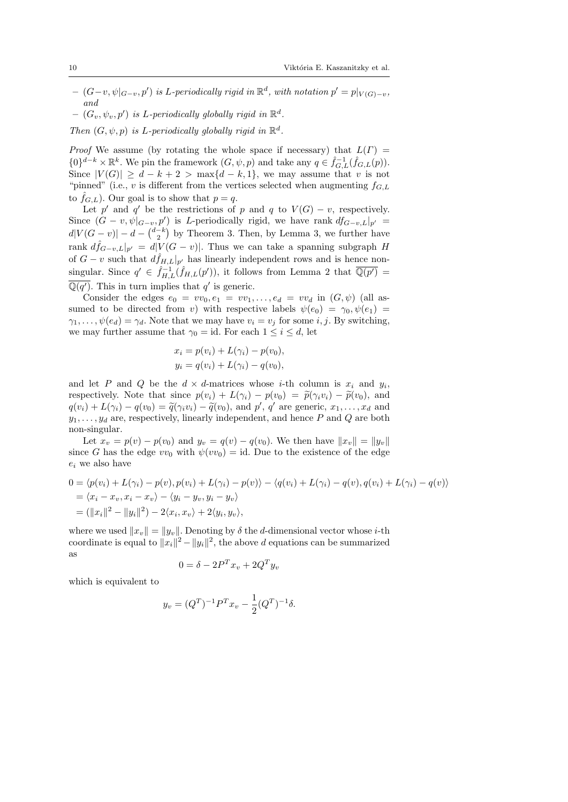- $(G-v, \psi|_{G-v}, p')$  is L-periodically rigid in  $\mathbb{R}^d$ , with notation  $p' = p|_{V(G)-v}$ , and
- $(G_v, \psi_v, p')$  is L-periodically globally rigid in  $\mathbb{R}^d$ .
- Then  $(G, \psi, p)$  is L-periodically globally rigid in  $\mathbb{R}^d$ .

*Proof* We assume (by rotating the whole space if necessary) that  $L(\Gamma)$  =  ${0}^{d-k} \times \mathbb{R}^k$ . We pin the framework  $(G, \psi, p)$  and take any  $q \in \hat{f}_{G,L}^{-1}(\hat{f}_{G,L}(p)).$ Since  $|V(G)| \geq d - k + 2 > \max\{d - k, 1\}$ , we may assume that v is not "pinned" (i.e., v is different from the vertices selected when augmenting  $f_{G,L}$ to  $\tilde{f}_{G,L}$ ). Our goal is to show that  $p = q$ .

Let p' and q' be the restrictions of p and q to  $V(G) - v$ , respectively. Since  $(G - v, \psi|_{G-v}, p')$  is *L*-periodically rigid, we have rank  $df_{G-v,L}|_{p'} =$  $d|V(G - v)| - d - \binom{d-k}{2}$  by Theorem 3. Then, by Lemma 3, we further have rank  $\hat{df}_{G-v,L}|_{p'} = d|V(G-v)|$ . Thus we can take a spanning subgraph H of  $G - v$  such that  $d\hat{f}_{H,L}|_{p'}$  has linearly independent rows and is hence nonsingular. Since  $q' \in \hat{f}_{H,L}^{-1}(\hat{f}_{H,L}(p'))$ , it follows from Lemma 2 that  $\overline{\mathbb{Q}(p')}$  $\overline{\mathbb{Q}(q')}$ . This in turn implies that q' is generic.

Consider the edges  $e_0 = v v_0, e_1 = v v_1, \ldots, e_d = v v_d$  in  $(G, \psi)$  (all assumed to be directed from v) with respective labels  $\psi(e_0) = \gamma_0, \psi(e_1) =$  $\gamma_1, \ldots, \psi(e_d) = \gamma_d$ . Note that we may have  $v_i = v_j$  for some i, j. By switching, we may further assume that  $\gamma_0 = id$ . For each  $1 \leq i \leq d$ , let

$$
x_i = p(v_i) + L(\gamma_i) - p(v_0),
$$
  
\n
$$
y_i = q(v_i) + L(\gamma_i) - q(v_0),
$$

and let P and Q be the  $d \times d$ -matrices whose *i*-th column is  $x_i$  and  $y_i$ , respectively. Note that since  $p(v_i) + L(\gamma_i) - p(v_0) = \tilde{p}(\gamma_i v_i) - \tilde{p}(v_0)$ , and  $q(v_i) + L(\gamma_i) - q(v_0) = \tilde{q}(\gamma_i v_i) - \tilde{q}(v_0)$ , and p', q' are generic,  $x_1, \ldots, x_d$  and<br> $y_i$ ,  $y_i$  are perpectively linearly independent, and hence  $P$  and  $Q$  are both  $y_1, \ldots, y_d$  are, respectively, linearly independent, and hence P and Q are both non-singular.

Let  $x_v = p(v) - p(v_0)$  and  $y_v = q(v) - q(v_0)$ . We then have  $||x_v|| = ||y_v||$ since G has the edge  $vv_0$  with  $\psi(vv_0) = id$ . Due to the existence of the edge  $e_i$  we also have

$$
0 = \langle p(v_i) + L(\gamma_i) - p(v), p(v_i) + L(\gamma_i) - p(v) \rangle - \langle q(v_i) + L(\gamma_i) - q(v), q(v_i) + L(\gamma_i) - q(v) \rangle
$$
  
=  $\langle x_i - x_v, x_i - x_v \rangle - \langle y_i - y_v, y_i - y_v \rangle$   
=  $(||x_i||^2 - ||y_i||^2) - 2\langle x_i, x_v \rangle + 2\langle y_i, y_v \rangle$ ,

where we used  $||x_v|| = ||y_v||$ . Denoting by  $\delta$  the d-dimensional vector whose *i*-th coordinate is equal to  $||x_i||^2 - ||y_i||^2$ , the above d equations can be summarized as

$$
0 = \delta - 2P^T x_v + 2Q^T y_v
$$

which is equivalent to

$$
y_v = (Q^T)^{-1} P^T x_v - \frac{1}{2} (Q^T)^{-1} \delta.
$$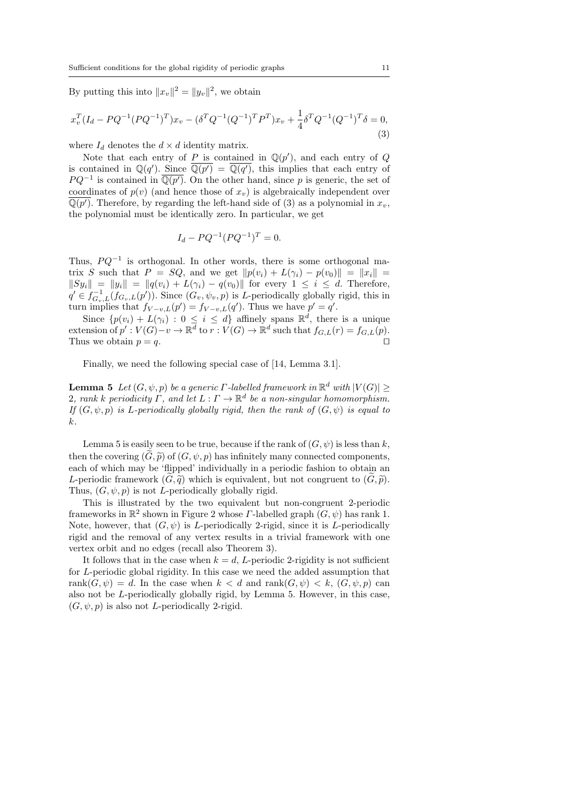By putting this into  $||x_v||^2 = ||y_v||^2$ , we obtain

$$
x_v^T (I_d - PQ^{-1} (PQ^{-1})^T) x_v - (\delta^T Q^{-1} (Q^{-1})^T P^T) x_v + \frac{1}{4} \delta^T Q^{-1} (Q^{-1})^T \delta = 0,
$$
\n(3)

where  $I_d$  denotes the  $d \times d$  identity matrix.

Note that each entry of P is contained in  $\mathbb{Q}(p')$ , and each entry of Q is contained in  $\mathbb{Q}(q')$ . Since  $\overline{\mathbb{Q}(p')} = \overline{\mathbb{Q}(q')}$ , this implies that each entry of  $PQ^{-1}$  is contained in  $\overline{\mathbb{Q}(p')}$ . On the other hand, since p is generic, the set of coordinates of  $p(v)$  (and hence those of  $x_v$ ) is algebraically independent over  $\overline{\mathbb{Q}(p')}$ . Therefore, by regarding the left-hand side of (3) as a polynomial in  $x_v$ , the polynomial must be identically zero. In particular, we get

$$
I_d - PQ^{-1}(PQ^{-1})^T = 0.
$$

Thus,  $PQ^{-1}$  is orthogonal. In other words, there is some orthogonal matrix S such that  $P = SQ$ , and we get  $||p(v_i) + L(\gamma_i) - p(v_0)|| = ||x_i||$  $||Sy_i|| = ||y_i|| = ||q(v_i) + L(\gamma_i) - q(v_0)||$  for every  $1 \leq i \leq d$ . Therefore,  $q' \in f_{G_v,L}^{-1}(f_{G_v,L}(p'))$ . Since  $(G_v,\psi_v,p)$  is L-periodically globally rigid, this in turn implies that  $f_{V-v,L}(p') = f_{V-v,L}(q')$ . Thus we have  $p' = q'$ .

Since  $\{p(v_i) + L(\gamma_i) : 0 \leq i \leq d\}$  affinely spans  $\mathbb{R}^d$ , there is a unique extension of  $p': V(G)-v \to \mathbb{R}^d$  to  $r: V(G) \to \mathbb{R}^d$  such that  $f_{G,L}(r) = f_{G,L}(p)$ . Thus we obtain  $p = q$ .

Finally, we need the following special case of [14, Lemma 3.1].

**Lemma 5** Let  $(G, \psi, p)$  be a generic  $\Gamma$ -labelled framework in  $\mathbb{R}^d$  with  $|V(G)| \ge$ 2, rank k periodicity  $\Gamma$ , and let  $L : \Gamma \to \mathbb{R}^d$  be a non-singular homomorphism. If  $(G, \psi, p)$  is L-periodically globally rigid, then the rank of  $(G, \psi)$  is equal to k.

Lemma 5 is easily seen to be true, because if the rank of  $(G, \psi)$  is less than k, then the covering  $(\widetilde{G}, \widetilde{p})$  of  $(G, \psi, p)$  has infinitely many connected components, each of which may be 'flipped' individually in a periodic fashion to obtain an L-periodic framework  $(G, \tilde{q})$  which is equivalent, but not congruent to  $(G, \tilde{p})$ . Thus,  $(G, \psi, p)$  is not *L*-periodically globally rigid.

This is illustrated by the two equivalent but non-congruent 2-periodic frameworks in  $\mathbb{R}^2$  shown in Figure 2 whose *Γ*-labelled graph  $(G, \psi)$  has rank 1. Note, however, that  $(G, \psi)$  is *L*-periodically 2-rigid, since it is *L*-periodically rigid and the removal of any vertex results in a trivial framework with one vertex orbit and no edges (recall also Theorem 3).

It follows that in the case when  $k = d$ , L-periodic 2-rigidity is not sufficient for L-periodic global rigidity. In this case we need the added assumption that rank $(G, \psi) = d$ . In the case when  $k < d$  and rank $(G, \psi) < k$ ,  $(G, \psi, p)$  can also not be L-periodically globally rigid, by Lemma 5. However, in this case,  $(G, \psi, p)$  is also not *L*-periodically 2-rigid.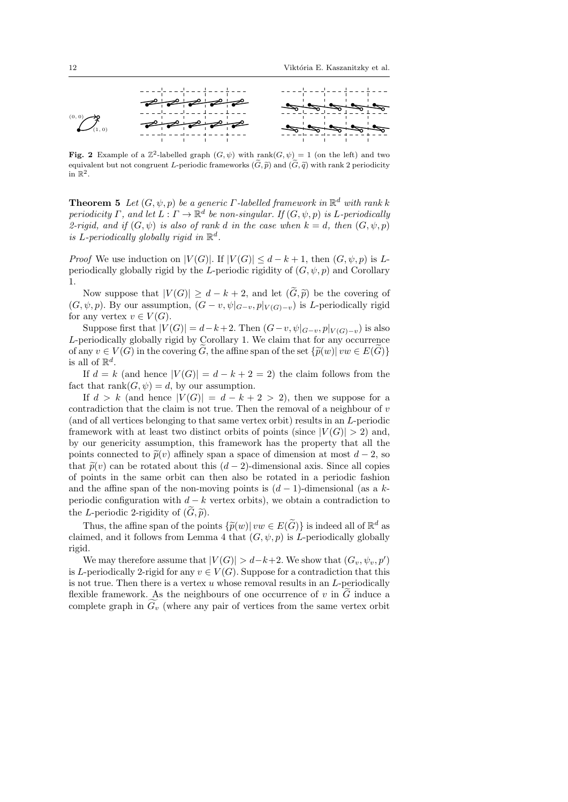

Fig. 2 Example of a  $\mathbb{Z}^2$ -labelled graph  $(G, \psi)$  with rank $(G, \psi) = 1$  (on the left) and two equivalent but not congruent L-periodic frameworks  $(\tilde{G}, \tilde{p})$  and  $(\tilde{G}, \tilde{q})$  with rank 2 periodicity in  $\mathbb{R}^2$ .

**Theorem 5** Let  $(G, \psi, p)$  be a generic  $\Gamma$ -labelled framework in  $\mathbb{R}^d$  with rank k periodicity  $\Gamma$ , and let  $L : \Gamma \to \mathbb{R}^d$  be non-singular. If  $(G, \psi, p)$  is L-periodically 2-rigid, and if  $(G, \psi)$  is also of rank d in the case when  $k = d$ , then  $(G, \psi, p)$ is L-periodically globally rigid in  $\mathbb{R}^d$ .

*Proof* We use induction on  $|V(G)|$ . If  $|V(G)| \leq d - k + 1$ , then  $(G, \psi, p)$  is Lperiodically globally rigid by the L-periodic rigidity of  $(G, \psi, p)$  and Corollary 1.

Now suppose that  $|V(G)| \geq d - k + 2$ , and let  $(\widetilde{G}, \widetilde{p})$  be the covering of  $(G, \psi, p)$ . By our assumption,  $(G - v, \psi|_{G-v}, p|_{V(G)-v})$  is *L*-periodically rigid for any vertex  $v \in V(G)$ .

Suppose first that  $|V(G)| = d-k+2$ . Then  $(G-v, \psi|_{G-v}, p|_{V(G)-v})$  is also L-periodically globally rigid by Corollary 1. We claim that for any occurrence of any  $v \in V(G)$  in the covering  $\widetilde{G}$ , the affine span of the set  $\{\widetilde{p}(w) | vw \in E(\widetilde{G})\}$ is all of  $\mathbb{R}^d$ .

If  $d = k$  (and hence  $|V(G)| = d - k + 2 = 2$ ) the claim follows from the fact that  $\text{rank}(G, \psi) = d$ , by our assumption.

If  $d > k$  (and hence  $|V(G)| = d - k + 2 > 2$ ), then we suppose for a contradiction that the claim is not true. Then the removal of a neighbour of  $v$ (and of all vertices belonging to that same vertex orbit) results in an L-periodic framework with at least two distinct orbits of points (since  $|V(G)| > 2$ ) and, by our genericity assumption, this framework has the property that all the points connected to  $\tilde{p}(v)$  affinely span a space of dimension at most  $d-2$ , so that  $\tilde{p}(v)$  can be rotated about this  $(d-2)$ -dimensional axis. Since all copies of points in the same orbit can then also be rotated in a periodic fashion and the affine span of the non-moving points is  $(d-1)$ -dimensional (as a kperiodic configuration with  $d - k$  vertex orbits), we obtain a contradiction to the L-periodic 2-rigidity of  $(G, \tilde{p})$ .

Thus, the affine span of the points  $\{\widetilde{p}(w)|vw \in E(\widetilde{G})\}$  is indeed all of  $\mathbb{R}^d$  as mod, and it follows from Lomma 4 that  $(G, \psi, n)$  is L poriodically globally claimed, and it follows from Lemma 4 that  $(G, \psi, p)$  is L-periodically globally rigid.

We may therefore assume that  $|V(G)| > d-k+2$ . We show that  $(G_v, \psi_v, p')$ is L-periodically 2-rigid for any  $v \in V(G)$ . Suppose for a contradiction that this is not true. Then there is a vertex  $u$  whose removal results in an  $L$ -periodically flexible framework. As the neighbours of one occurrence of  $v$  in  $G$  induce a complete graph in  $G_v$  (where any pair of vertices from the same vertex orbit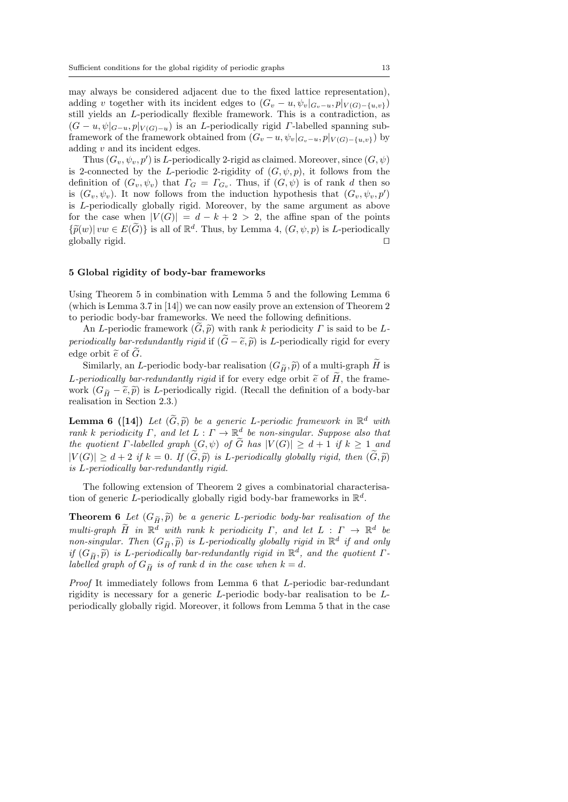may always be considered adjacent due to the fixed lattice representation), adding v together with its incident edges to  $(G_v - u, \psi_v|_{G_v - u}, p|_{V(G) - \{u, v\}})$ still yields an L-periodically flexible framework. This is a contradiction, as  $(G - u, \psi|_{G-u}, p|_{V(G)-u})$  is an *L*-periodically rigid *Γ*-labelled spanning subframework of the framework obtained from  $(G_v - u, \psi_v|_{G_v - u}, p|_{V(G) - \{u, v\}})$  by adding  $v$  and its incident edges.

Thus  $(G_v, \psi_v, p')$  is *L*-periodically 2-rigid as claimed. Moreover, since  $(G, \psi)$ is 2-connected by the L-periodic 2-rigidity of  $(G, \psi, p)$ , it follows from the definition of  $(G_v, \psi_v)$  that  $\Gamma_G = \Gamma_{G_v}$ . Thus, if  $(G, \psi)$  is of rank d then so is  $(G_v, \psi_v)$ . It now follows from the induction hypothesis that  $(G_v, \psi_v, p)$ is L-periodically globally rigid. Moreover, by the same argument as above for the case when  $|V(G)| = d - k + 2 > 2$ , the affine span of the points  ${\{\widetilde{p}(w)|vw\in E(\widetilde{G})\}}$  is all of  $\mathbb{R}^d$ . Thus, by Lemma 4,  $(G,\psi,p)$  is *L*-periodically globally rigid globally rigid.  $\square$ 

## 5 Global rigidity of body-bar frameworks

Using Theorem 5 in combination with Lemma 5 and the following Lemma 6 (which is Lemma 3.7 in [14]) we can now easily prove an extension of Theorem 2 to periodic body-bar frameworks. We need the following definitions.

An L-periodic framework  $(\tilde{G}, \tilde{p})$  with rank k periodicity  $\Gamma$  is said to be L*periodically bar-redundantly rigid* if  $(\widetilde{G}-\widetilde{e},\widetilde{p})$  is *L*-periodically rigid for every edge orbit  $\tilde{e}$  of  $\tilde{G}$ .

Similarly, an L-periodic body-bar realisation  $(G_{\widetilde{H}}, \widetilde{p})$  of a multi-graph  $\widetilde{H}$  is L-periodically bar-redundantly rigid if for every edge orbit  $\tilde{e}$  of  $\tilde{H}$ , the framework  $(G_{\widetilde{H}} - \widetilde{e}, \widetilde{p})$  is L-periodically rigid. (Recall the definition of a body-bar realisation in Section 2.3.)

**Lemma 6** ([14]) Let  $(\widetilde{G}, \widetilde{p})$  be a generic L-periodic framework in  $\mathbb{R}^d$  with rank k periodicity  $\Gamma$ , and let  $L : \Gamma \to \mathbb{R}^d$  be non-singular. Suppose also that the quotient  $\Gamma$ -labelled graph  $(G, \psi)$  of G has  $|V(G)| \geq d+1$  if  $k \geq 1$  and  $|V(G)| \geq d+2$  if  $k = 0$ . If  $(\widetilde{G}, \widetilde{p})$  is L-periodically globally rigid, then  $(\widetilde{G}, \widetilde{p})$ is L-periodically bar-redundantly rigid.

The following extension of Theorem 2 gives a combinatorial characterisation of generic L-periodically globally rigid body-bar frameworks in  $\mathbb{R}^d$ .

**Theorem 6** Let  $(G_{\widetilde{H}}, \widetilde{p})$  be a generic L-periodic body-bar realisation of the multi-graph  $\widetilde{H}$  in  $\mathbb{R}^d$  with rank k periodicity  $\Gamma$ , and let  $L : \Gamma \to \mathbb{R}^d$  be non-singular. Then  $(G_{\widetilde{H}}, \widetilde{p})$  is L-periodically globally rigid in  $\mathbb{R}^d$  if and only<br>if  $(G_{\widetilde{H}}, \widetilde{p})$  is L periodically har redundantly rigid in  $\mathbb{R}^d$  and the quotient  $\Gamma$ if  $(G_{\widetilde{H}}, \widetilde{p})$  is L-periodically bar-redundantly rigid in  $\mathbb{R}^d$ , and the quotient  $\Gamma$ -<br>labelled graph of  $C_R$  is of rank d in the same when  $k-d$ labelled graph of  $G_{\widetilde{H}}$  is of rank d in the case when  $k = d$ .

Proof It immediately follows from Lemma 6 that L-periodic bar-redundant rigidity is necessary for a generic L-periodic body-bar realisation to be Lperiodically globally rigid. Moreover, it follows from Lemma 5 that in the case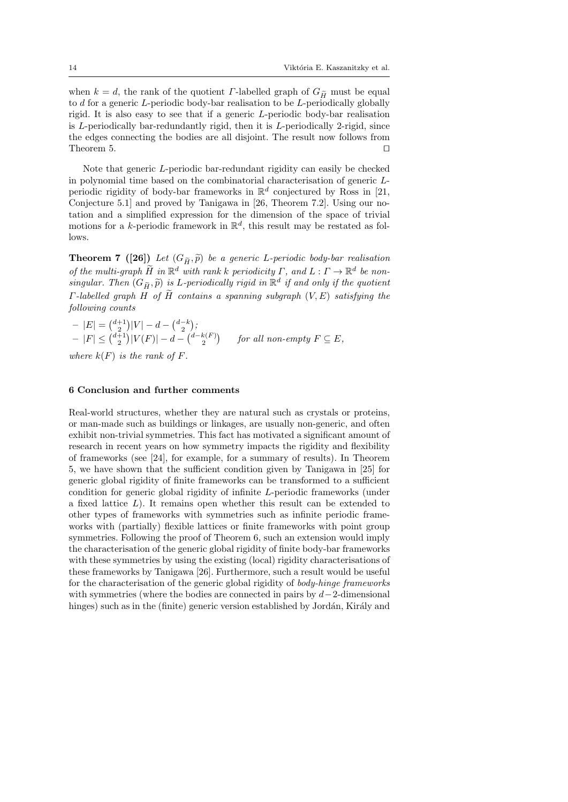when  $k = d$ , the rank of the quotient *Γ*-labelled graph of  $G_{\widetilde{H}}$  must be equal to d for a generic L-periodic body-bar realisation to be L-periodically globally rigid. It is also easy to see that if a generic L-periodic body-bar realisation is L-periodically bar-redundantly rigid, then it is L-periodically 2-rigid, since the edges connecting the bodies are all disjoint. The result now follows from Theorem 5.  $\Box$ 

Note that generic L-periodic bar-redundant rigidity can easily be checked in polynomial time based on the combinatorial characterisation of generic Lperiodic rigidity of body-bar frameworks in  $\mathbb{R}^d$  conjectured by Ross in [21, Conjecture 5.1] and proved by Tanigawa in [26, Theorem 7.2]. Using our notation and a simplified expression for the dimension of the space of trivial motions for a k-periodic framework in  $\mathbb{R}^d$ , this result may be restated as follows.

**Theorem 7** ([26]) Let  $(G_{\widetilde{H}}, \widetilde{p})$  be a generic L-periodic body-bar realisation of the multi-graph  $\widetilde{H}$  in  $\mathbb{R}^d$  with rank k periodicity  $\Gamma$ , and  $L: \Gamma \to \mathbb{R}^d$  be nonsingular. Then  $(G_{\widetilde{H}}, \widetilde{p})$  is L-periodically rigid in  $\mathbb{R}^d$  if and only if the quotient  $\Gamma$ -labelled graph H of  $\widetilde{H}$  contains a spanning subgraph  $(V, E)$  satisfying the following counts

 $- |E| = {d+1 \choose 2} |V| - d - {d-k \choose 2};$  $-|F| \leq {d+1 \choose 2}|V(F)| - d - {d-k(F) \choose 2}$  for all non-empty  $F \subseteq E$ , where  $k(F)$  is the rank of F.

# 6 Conclusion and further comments

Real-world structures, whether they are natural such as crystals or proteins, or man-made such as buildings or linkages, are usually non-generic, and often exhibit non-trivial symmetries. This fact has motivated a significant amount of research in recent years on how symmetry impacts the rigidity and flexibility of frameworks (see [24], for example, for a summary of results). In Theorem 5, we have shown that the sufficient condition given by Tanigawa in [25] for generic global rigidity of finite frameworks can be transformed to a sufficient condition for generic global rigidity of infinite L-periodic frameworks (under a fixed lattice L). It remains open whether this result can be extended to other types of frameworks with symmetries such as infinite periodic frameworks with (partially) flexible lattices or finite frameworks with point group symmetries. Following the proof of Theorem 6, such an extension would imply the characterisation of the generic global rigidity of finite body-bar frameworks with these symmetries by using the existing (local) rigidity characterisations of these frameworks by Tanigawa [26]. Furthermore, such a result would be useful for the characterisation of the generic global rigidity of body-hinge frameworks with symmetries (where the bodies are connected in pairs by  $d-2$ -dimensional hinges) such as in the (finite) generic version established by Jordán, Király and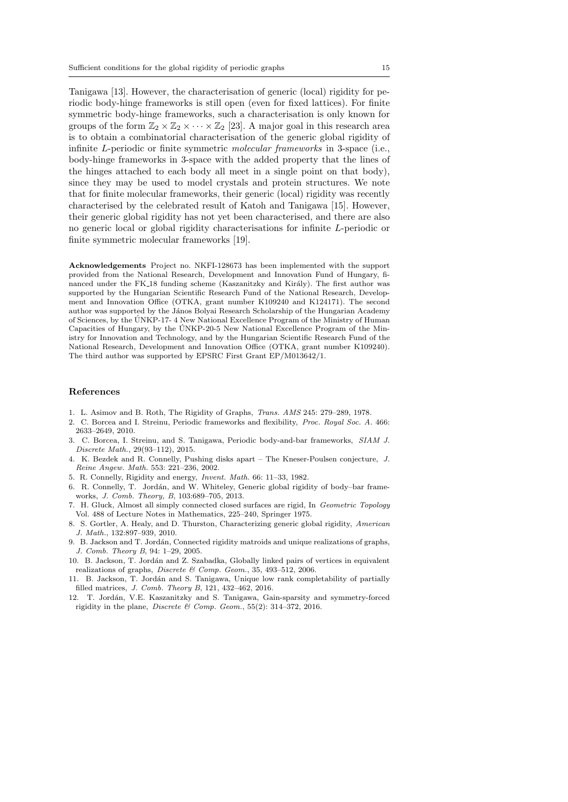Tanigawa [13]. However, the characterisation of generic (local) rigidity for periodic body-hinge frameworks is still open (even for fixed lattices). For finite symmetric body-hinge frameworks, such a characterisation is only known for groups of the form  $\mathbb{Z}_2 \times \mathbb{Z}_2 \times \cdots \times \mathbb{Z}_2$  [23]. A major goal in this research area is to obtain a combinatorial characterisation of the generic global rigidity of infinite L-periodic or finite symmetric molecular frameworks in 3-space (i.e., body-hinge frameworks in 3-space with the added property that the lines of the hinges attached to each body all meet in a single point on that body), since they may be used to model crystals and protein structures. We note that for finite molecular frameworks, their generic (local) rigidity was recently characterised by the celebrated result of Katoh and Tanigawa [15]. However, their generic global rigidity has not yet been characterised, and there are also no generic local or global rigidity characterisations for infinite L-periodic or finite symmetric molecular frameworks [19].

Acknowledgements Project no. NKFI-128673 has been implemented with the support provided from the National Research, Development and Innovation Fund of Hungary, financed under the FK 18 funding scheme (Kaszanitzky and Király). The first author was supported by the Hungarian Scientific Research Fund of the National Research, Development and Innovation Office (OTKA, grant number K109240 and K124171). The second author was supported by the János Bolyai Research Scholarship of the Hungarian Academy of Sciences, by the UNKP-17- 4 New National Excellence Program of the Ministry of Human ´ Capacities of Hungary, by the ÚNKP-20-5 New National Excellence Program of the Ministry for Innovation and Technology, and by the Hungarian Scientific Research Fund of the National Research, Development and Innovation Office (OTKA, grant number K109240). The third author was supported by EPSRC First Grant EP/M013642/1.

#### References

- 1. L. Asimov and B. Roth, The Rigidity of Graphs, Trans. AMS 245: 279–289, 1978.
- 2. C. Borcea and I. Streinu, Periodic frameworks and flexibility, Proc. Royal Soc. A. 466: 2633–2649, 2010.
- 3. C. Borcea, I. Streinu, and S. Tanigawa, Periodic body-and-bar frameworks, SIAM J. Discrete Math., 29(93–112), 2015.
- 4. K. Bezdek and R. Connelly, Pushing disks apart The Kneser-Poulsen conjecture, J. Reine Angew. Math. 553: 221–236, 2002.
- 5. R. Connelly, Rigidity and energy, Invent. Math. 66: 11–33, 1982.
- 6. R. Connelly, T. Jordán, and W. Whiteley, Generic global rigidity of body–bar frameworks, J. Comb. Theory, B, 103:689–705, 2013.
- 7. H. Gluck, Almost all simply connected closed surfaces are rigid, In Geometric Topology Vol. 488 of Lecture Notes in Mathematics, 225–240, Springer 1975.
- 8. S. Gortler, A. Healy, and D. Thurston, Characterizing generic global rigidity, American J. Math., 132:897–939, 2010.
- 9. B. Jackson and T. Jord´an, Connected rigidity matroids and unique realizations of graphs, J. Comb. Theory B, 94: 1–29, 2005.
- 10. B. Jackson, T. Jordán and Z. Szabadka, Globally linked pairs of vertices in equivalent realizations of graphs, Discrete & Comp. Geom., 35, 493–512, 2006.
- 11. B. Jackson, T. Jordán and S. Tanigawa, Unique low rank completability of partially filled matrices, J. Comb. Theory B, 121, 432–462, 2016.
- 12. T. Jord´an, V.E. Kaszanitzky and S. Tanigawa, Gain-sparsity and symmetry-forced rigidity in the plane, Discrete & Comp. Geom.,  $55(2)$ :  $314-372$ ,  $2016$ .